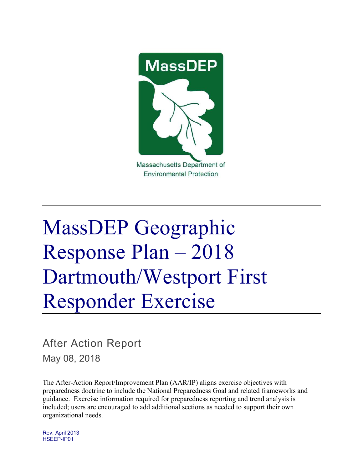

# MassDEP Geographic Response Plan – 2018 Dartmouth/Westport First Responder Exercise

After Action Report

May 08, 2018

The After-Action Report/Improvement Plan (AAR/IP) aligns exercise objectives with preparedness doctrine to include the National Preparedness Goal and related frameworks and guidance. Exercise information required for preparedness reporting and trend analysis is included; users are encouraged to add additional sections as needed to support their own organizational needs.

Rev. April 2013 HSEEP-IP01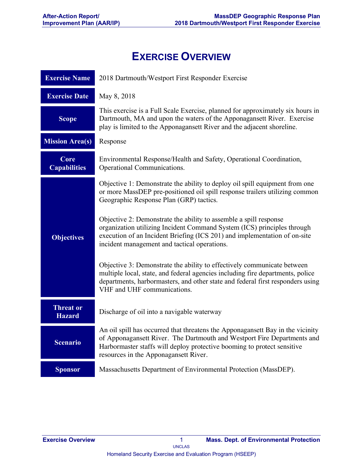# **EXERCISE OVERVIEW**

| <b>Exercise Name</b>              | 2018 Dartmouth/Westport First Responder Exercise                                                                                                                                                                                                                              |
|-----------------------------------|-------------------------------------------------------------------------------------------------------------------------------------------------------------------------------------------------------------------------------------------------------------------------------|
| <b>Exercise Date</b>              | May 8, 2018                                                                                                                                                                                                                                                                   |
| <b>Scope</b>                      | This exercise is a Full Scale Exercise, planned for approximately six hours in<br>Dartmouth, MA and upon the waters of the Apponagansett River. Exercise<br>play is limited to the Apponagansett River and the adjacent shoreline.                                            |
| <b>Mission Area(s)</b>            | Response                                                                                                                                                                                                                                                                      |
| Core<br><b>Capabilities</b>       | Environmental Response/Health and Safety, Operational Coordination,<br>Operational Communications.                                                                                                                                                                            |
|                                   | Objective 1: Demonstrate the ability to deploy oil spill equipment from one<br>or more MassDEP pre-positioned oil spill response trailers utilizing common<br>Geographic Response Plan (GRP) tactics.                                                                         |
| <b>Objectives</b>                 | Objective 2: Demonstrate the ability to assemble a spill response<br>organization utilizing Incident Command System (ICS) principles through<br>execution of an Incident Briefing (ICS 201) and implementation of on-site<br>incident management and tactical operations.     |
|                                   | Objective 3: Demonstrate the ability to effectively communicate between<br>multiple local, state, and federal agencies including fire departments, police<br>departments, harbormasters, and other state and federal first responders using<br>VHF and UHF communications.    |
| <b>Threat or</b><br><b>Hazard</b> | Discharge of oil into a navigable waterway                                                                                                                                                                                                                                    |
| <b>Scenario</b>                   | An oil spill has occurred that threatens the Apponagansett Bay in the vicinity<br>of Apponagansett River. The Dartmouth and Westport Fire Departments and<br>Harbormaster staffs will deploy protective booming to protect sensitive<br>resources in the Apponagansett River. |
| <b>Sponsor</b>                    | Massachusetts Department of Environmental Protection (MassDEP).                                                                                                                                                                                                               |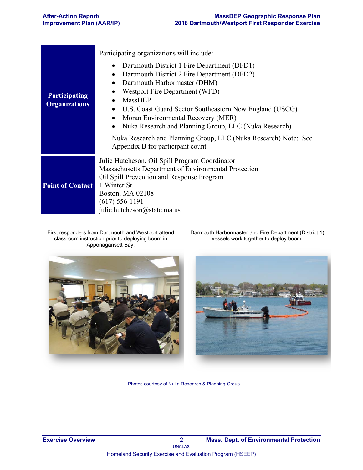| <b>Participating</b><br><b>Organizations</b> | Participating organizations will include:<br>Dartmouth District 1 Fire Department (DFD1)<br>$\bullet$<br>Dartmouth District 2 Fire Department (DFD2)<br>$\bullet$<br>Dartmouth Harbormaster (DHM)<br>$\bullet$<br>Westport Fire Department (WFD)<br>$\bullet$<br><b>MassDEP</b><br>$\bullet$<br>U.S. Coast Guard Sector Southeastern New England (USCG)<br>$\bullet$<br>Moran Environmental Recovery (MER)<br>$\bullet$<br>Nuka Research and Planning Group, LLC (Nuka Research)<br>$\bullet$<br>Nuka Research and Planning Group, LLC (Nuka Research) Note: See<br>Appendix B for participant count. |
|----------------------------------------------|-------------------------------------------------------------------------------------------------------------------------------------------------------------------------------------------------------------------------------------------------------------------------------------------------------------------------------------------------------------------------------------------------------------------------------------------------------------------------------------------------------------------------------------------------------------------------------------------------------|
| <b>Point of Contact</b>                      | Julie Hutcheson, Oil Spill Program Coordinator<br>Massachusetts Department of Environmental Protection<br>Oil Spill Prevention and Response Program<br>1 Winter St.<br>Boston, MA 02108<br>$(617) 556 - 1191$<br>julie.hutcheson@state.ma.us                                                                                                                                                                                                                                                                                                                                                          |

First responders from Dartmouth and Westport attend classroom instruction prior to deploying boom in Apponagansett Bay.

Darmouth Harbormaster and Fire Department (District 1) vessels work together to deploy boom.





Photos courtesy of Nuka Research & Planning Group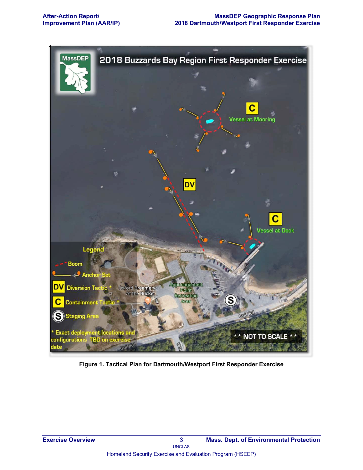

**Figure 1. Tactical Plan for Dartmouth/Westport First Responder Exercise**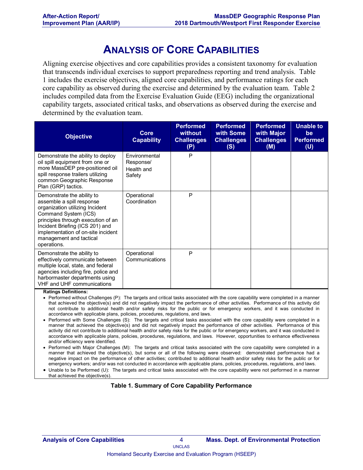# **ANALYSIS OF CORE CAPABILITIES**

Aligning exercise objectives and core capabilities provides a consistent taxonomy for evaluation that transcends individual exercises to support preparedness reporting and trend analysis. Table 1 includes the exercise objectives, aligned core capabilities, and performance ratings for each core capability as observed during the exercise and determined by the evaluation team. Table 2 includes compiled data from the Exercise Evaluation Guide (EEG) including the organizational capability targets, associated critical tasks, and observations as observed during the exercise and determined by the evaluation team.

| <b>Objective</b>                                                                                                                                                                                                                                                            | <b>Core</b><br><b>Capability</b>                   | <b>Performed</b><br>without<br><b>Challenges</b><br>(P) | <b>Performed</b><br>with Some<br><b>Challenges</b><br>(S) | <b>Performed</b><br>with Major<br><b>Challenges</b><br>(M) | <b>Unable to</b><br>be<br><b>Performed</b><br>(U) |
|-----------------------------------------------------------------------------------------------------------------------------------------------------------------------------------------------------------------------------------------------------------------------------|----------------------------------------------------|---------------------------------------------------------|-----------------------------------------------------------|------------------------------------------------------------|---------------------------------------------------|
| Demonstrate the ability to deploy<br>oil spill equipment from one or<br>more MassDEP pre-positioned oil<br>spill response trailers utilizing<br>common Geographic Response<br>Plan (GRP) tactics.                                                                           | Environmental<br>Response/<br>Health and<br>Safety | P                                                       |                                                           |                                                            |                                                   |
| Demonstrate the ability to<br>assemble a spill response<br>organization utilizing Incident<br>Command System (ICS)<br>principles through execution of an<br>Incident Briefing (ICS 201) and<br>implementation of on-site incident<br>management and tactical<br>operations. | Operational<br>Coordination                        | P                                                       |                                                           |                                                            |                                                   |
| Demonstrate the ability to<br>effectively communicate between<br>multiple local, state, and federal<br>agencies including fire, police and<br>harbormaster departments using<br><b>VHF and UHF communications</b>                                                           | Operational<br>Communications                      | P                                                       |                                                           |                                                            |                                                   |

**Ratings Definitions:**

- Performed without Challenges (P): The targets and critical tasks associated with the core capability were completed in a manner that achieved the objective(s) and did not negatively impact the performance of other activities. Performance of this activity did not contribute to additional health and/or safety risks for the public or for emergency workers, and it was conducted in accordance with applicable plans, policies, procedures, regulations, and laws.
- Performed with Some Challenges (S): The targets and critical tasks associated with the core capability were completed in a manner that achieved the objective(s) and did not negatively impact the performance of other activities. Performance of this activity did not contribute to additional health and/or safety risks for the public or for emergency workers, and it was conducted in accordance with applicable plans, policies, procedures, regulations, and laws. However, opportunities to enhance effectiveness and/or efficiency were identified.
- Performed with Major Challenges (M): The targets and critical tasks associated with the core capability were completed in a manner that achieved the objective(s), but some or all of the following were observed: demonstrated performance had a negative impact on the performance of other activities; contributed to additional health and/or safety risks for the public or for emergency workers; and/or was not conducted in accordance with applicable plans, policies, procedures, regulations, and laws.
- Unable to be Performed (U): The targets and critical tasks associated with the core capability were not performed in a manner that achieved the objective(s).

#### **Table 1. Summary of Core Capability Performance**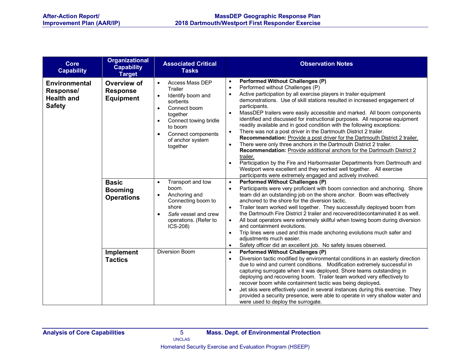| <b>Core</b><br><b>Capability</b>                                        | <b>Organizational</b><br><b>Capability</b><br><b>Target</b> | <b>Associated Critical</b><br><b>Tasks</b>                                                                                                                                                                                                                | <b>Observation Notes</b>                                                                                                                                                                                                                                                                                                                                                                                                                                                                                                                                                                                                                                                                                                                                                                                                                                                                                                                                                                                                                                                                                        |
|-------------------------------------------------------------------------|-------------------------------------------------------------|-----------------------------------------------------------------------------------------------------------------------------------------------------------------------------------------------------------------------------------------------------------|-----------------------------------------------------------------------------------------------------------------------------------------------------------------------------------------------------------------------------------------------------------------------------------------------------------------------------------------------------------------------------------------------------------------------------------------------------------------------------------------------------------------------------------------------------------------------------------------------------------------------------------------------------------------------------------------------------------------------------------------------------------------------------------------------------------------------------------------------------------------------------------------------------------------------------------------------------------------------------------------------------------------------------------------------------------------------------------------------------------------|
| <b>Environmental</b><br>Response/<br><b>Health and</b><br><b>Safety</b> | Overview of<br><b>Response</b><br><b>Equipment</b>          | <b>Access Mass DEP</b><br>$\bullet$<br>Trailer<br>Identify boom and<br>$\bullet$<br>sorbents<br>Connect boom<br>$\bullet$<br>together<br>Connect towing bridle<br>$\bullet$<br>to boom<br>Connect components<br>$\bullet$<br>of anchor system<br>together | <b>Performed Without Challenges (P)</b><br>$\bullet$<br>Performed without Challenges (P)<br>$\bullet$<br>Active participation by all exercise players in trailer equipment<br>$\bullet$<br>demonstrations. Use of skill stations resulted in increased engagement of<br>participants.<br>MassDEP trailers were easily accessible and marked. All boom components<br>$\bullet$<br>identified and discussed for instructional purposes. All response equipment<br>readily available and in good condition with the following exceptions:<br>There was not a post driver in the Dartmouth District 2 trailer.<br>$\bullet$<br>Recommendation: Provide a post driver for the Dartmouth District 2 trailer.<br>There were only three anchors in the Dartmouth District 2 trailer.<br>$\bullet$<br>Recommendation: Provide additional anchors for the Dartmouth District 2<br>trailer.<br>Participation by the Fire and Harbormaster Departments from Dartmouth and<br>$\bullet$<br>Westport were excellent and they worked well together. All exercise<br>participants were extremely engaged and actively involved. |
|                                                                         | <b>Basic</b><br><b>Booming</b><br><b>Operations</b>         | Transport and tow<br>$\bullet$<br>boom.<br>Anchoring and<br>$\bullet$<br>Connecting boom to<br>shore<br>Safe vessel and crew<br>$\bullet$<br>operations. (Refer to<br>ICS-208)                                                                            | <b>Performed Without Challenges (P)</b><br>$\bullet$<br>Participants were very proficient with boom connection and anchoring. Shore<br>$\bullet$<br>team did an outstanding job on the shore anchor. Boom was effectively<br>anchored to the shore for the diversion tactic.<br>Trailer team worked well together. They successfully deployed boom from<br>$\bullet$<br>the Dartmouth Fire District 2 trailer and recovered/decontaminated it as well.<br>All boat operators were extremely skillful when towing boom during diversion<br>$\bullet$<br>and containment evolutions.<br>Trip lines were used and this made anchoring evolutions much safer and<br>$\bullet$<br>adjustments much easier.<br>Safety officer did an excellent job. No safety issues observed.<br>$\bullet$                                                                                                                                                                                                                                                                                                                           |
|                                                                         | Implement<br><b>Tactics</b>                                 | <b>Diversion Boom</b>                                                                                                                                                                                                                                     | <b>Performed Without Challenges (P)</b><br>$\bullet$<br>Diversion tactic modified by environmental conditions in an easterly direction<br>$\bullet$<br>due to wind and current conditions. Modification extremely successful in<br>capturing surrogate when it was deployed. Shore teams outstanding in<br>deploying and recovering boom. Trailer team worked very effectively to<br>recover boom while containment tactic was being deployed.<br>Jet skis were effectively used in several instances during this exercise. They<br>$\bullet$<br>provided a security presence, were able to operate in very shallow water and<br>were used to deploy the surrogate.                                                                                                                                                                                                                                                                                                                                                                                                                                             |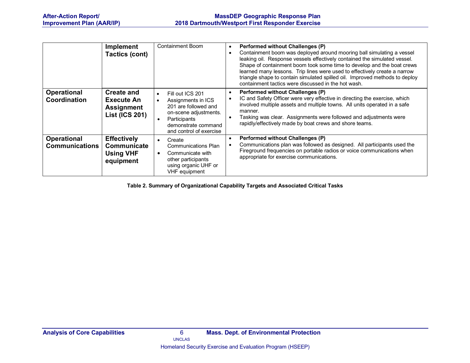|                                             | <b>Implement</b><br><b>Tactics (cont)</b>                              | <b>Containment Boom</b>                                                                                                                                                             | <b>Performed without Challenges (P)</b><br>$\bullet$<br>Containment boom was deployed around mooring ball simulating a vessel<br>$\bullet$<br>leaking oil. Response vessels effectively contained the simulated vessel.<br>Shape of containment boom took some time to develop and the boat crews<br>learned many lessons. Trip lines were used to effectively create a narrow<br>triangle shape to contain simulated spilled oil. Improved methods to deploy<br>containment tactics were discussed in the hot wash. |
|---------------------------------------------|------------------------------------------------------------------------|-------------------------------------------------------------------------------------------------------------------------------------------------------------------------------------|----------------------------------------------------------------------------------------------------------------------------------------------------------------------------------------------------------------------------------------------------------------------------------------------------------------------------------------------------------------------------------------------------------------------------------------------------------------------------------------------------------------------|
| <b>Operational</b><br>Coordination          | Create and<br>Execute An<br><b>Assignment</b><br><b>List (ICS 201)</b> | Fill out ICS 201<br>$\bullet$<br>Assignments in ICS<br>$\bullet$<br>201 are followed and<br>on-scene adjustments.<br>Participants<br>demonstrate command<br>and control of exercise | Performed without Challenges (P)<br>$\bullet$<br>IC and Safety Officer were very effective in directing the exercise, which<br>$\bullet$<br>involved multiple assets and multiple towns. All units operated in a safe<br>manner.<br>Tasking was clear. Assignments were followed and adjustments were<br>$\bullet$<br>rapidly/effectively made by boat crews and shore teams.                                                                                                                                        |
| <b>Operational</b><br><b>Communications</b> | <b>Effectively</b><br>Communicate<br><b>Using VHF</b><br>equipment     | Create<br>$\bullet$<br>Communications Plan<br>Communicate with<br>$\bullet$<br>other participants<br>using organic UHF or<br>VHF equipment                                          | <b>Performed without Challenges (P)</b><br>$\bullet$<br>Communications plan was followed as designed. All participants used the<br>$\bullet$<br>Fireground frequencies on portable radios or voice communications when<br>appropriate for exercise communications.                                                                                                                                                                                                                                                   |

**Table 2. Summary of Organizational Capability Targets and Associated Critical Tasks**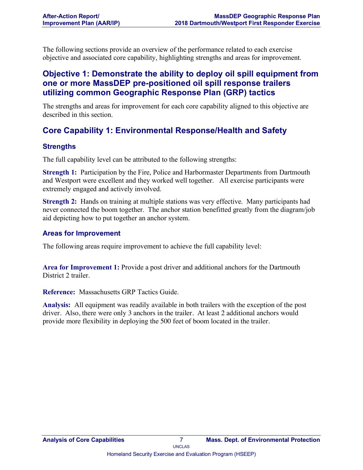The following sections provide an overview of the performance related to each exercise objective and associated core capability, highlighting strengths and areas for improvement.

## **Objective 1: Demonstrate the ability to deploy oil spill equipment from one or more MassDEP pre-positioned oil spill response trailers utilizing common Geographic Response Plan (GRP) tactics**

The strengths and areas for improvement for each core capability aligned to this objective are described in this section.

## **Core Capability 1: Environmental Response/Health and Safety**

#### **Strengths**

The full capability level can be attributed to the following strengths:

**Strength 1:** Participation by the Fire, Police and Harbormaster Departments from Dartmouth and Westport were excellent and they worked well together. All exercise participants were extremely engaged and actively involved.

**Strength 2:** Hands on training at multiple stations was very effective. Many participants had never connected the boom together. The anchor station benefitted greatly from the diagram/job aid depicting how to put together an anchor system.

#### **Areas for Improvement**

The following areas require improvement to achieve the full capability level:

**Area for Improvement 1:** Provide a post driver and additional anchors for the Dartmouth District 2 trailer

**Reference:** Massachusetts GRP Tactics Guide.

**Analysis:** All equipment was readily available in both trailers with the exception of the post driver. Also, there were only 3 anchors in the trailer. At least 2 additional anchors would provide more flexibility in deploying the 500 feet of boom located in the trailer.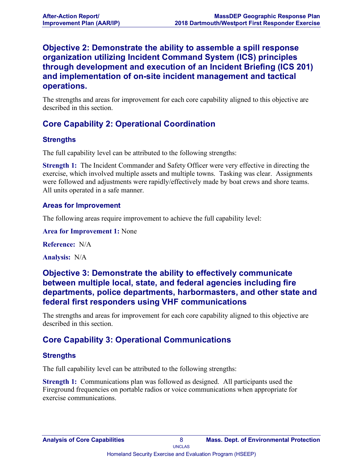## **Objective 2: Demonstrate the ability to assemble a spill response organization utilizing Incident Command System (ICS) principles through development and execution of an Incident Briefing (ICS 201) and implementation of on-site incident management and tactical operations.**

The strengths and areas for improvement for each core capability aligned to this objective are described in this section.

## **Core Capability 2: Operational Coordination**

#### **Strengths**

The full capability level can be attributed to the following strengths:

**Strength 1:** The Incident Commander and Safety Officer were very effective in directing the exercise, which involved multiple assets and multiple towns. Tasking was clear. Assignments were followed and adjustments were rapidly/effectively made by boat crews and shore teams. All units operated in a safe manner.

#### **Areas for Improvement**

The following areas require improvement to achieve the full capability level:

**Area for Improvement 1:** None

**Reference:** N/A

**Analysis:** N/A

### **Objective 3: Demonstrate the ability to effectively communicate between multiple local, state, and federal agencies including fire departments, police departments, harbormasters, and other state and federal first responders using VHF communications**

The strengths and areas for improvement for each core capability aligned to this objective are described in this section.

## **Core Capability 3: Operational Communications**

#### **Strengths**

The full capability level can be attributed to the following strengths:

**Strength 1:** Communications plan was followed as designed. All participants used the Fireground frequencies on portable radios or voice communications when appropriate for exercise communications.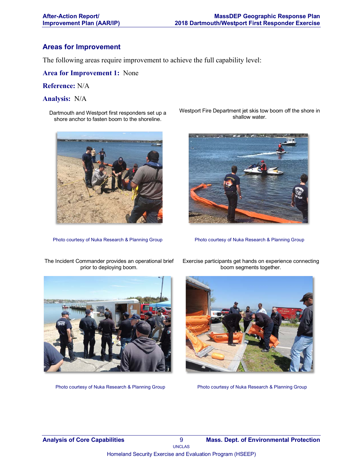#### **Areas for Improvement**

The following areas require improvement to achieve the full capability level:

**Area for Improvement 1:** None

#### **Reference:** N/A

#### **Analysis:** N/A

Dartmouth and Westport first responders set up a shore anchor to fasten boom to the shoreline.



The Incident Commander provides an operational brief

Westport Fire Department jet skis tow boom off the shore in shallow water.



Photo courtesy of Nuka Research & Planning Group Photo courtesy of Nuka Research & Planning Group



Photo courtesy of Nuka Research & Planning Group Photo courtesy of Nuka Research & Planning Group

Exercise participants get hands on experience connecting boom segments together.

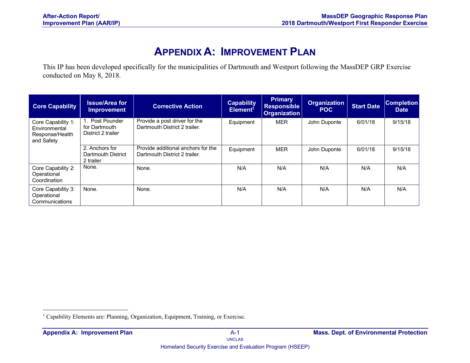# **APPENDIX A: IMPROVEMENT PLAN**

This IP has been developed specifically for the municipalities of Dartmouth and Westport following the MassDEP GRP Exercise conducted on May 8, 2018.

| <b>Core Capability</b>                                               | <b>Issue/Area for</b><br><b>Improvement</b>            | <b>Corrective Action</b>                                            | <b>Capability</b><br>Element <sup>1</sup> | <b>Primary</b><br><b>Responsible</b><br><b>Organization</b> | <b>Organization</b><br><b>POC</b> | <b>Start Date</b> | <b>Completion</b><br><b>Date</b> |
|----------------------------------------------------------------------|--------------------------------------------------------|---------------------------------------------------------------------|-------------------------------------------|-------------------------------------------------------------|-----------------------------------|-------------------|----------------------------------|
| Core Capability 1:<br>Environmental<br>Response/Health<br>and Safety | 1. Post Pounder<br>for Dartmouth<br>District 2 trailer | Provide a post driver for the<br>Dartmouth District 2 trailer.      | Equipment                                 | <b>MER</b>                                                  | John Duponte                      | 6/01/18           | 9/15/18                          |
|                                                                      | 2. Anchors for<br>Dartmouth District<br>2 trailer      | Provide additional anchors for the<br>Dartmouth District 2 trailer. | Equipment                                 | <b>MER</b>                                                  | John Duponte                      | 6/01/18           | 9/15/18                          |
| Core Capability 2:<br>Operational<br>Coordination                    | None.                                                  | None.                                                               | N/A                                       | N/A                                                         | N/A                               | N/A               | N/A                              |
| Core Capability 3:<br>Operational<br>Communications                  | None.                                                  | None.                                                               | N/A                                       | N/A                                                         | N/A                               | N/A               | N/A                              |

<sup>&</sup>lt;sup>1</sup> Capability Elements are: Planning, Organization, Equipment, Training, or Exercise.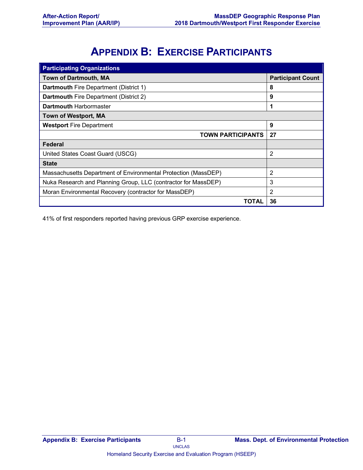# **APPENDIX B: EXERCISE PARTICIPANTS**

| <b>Participating Organizations</b>                             |                          |
|----------------------------------------------------------------|--------------------------|
| <b>Town of Dartmouth, MA</b>                                   | <b>Participant Count</b> |
| <b>Dartmouth Fire Department (District 1)</b>                  | 8                        |
| <b>Dartmouth Fire Department (District 2)</b>                  | 9                        |
| <b>Dartmouth Harbormaster</b>                                  | 1                        |
| <b>Town of Westport, MA</b>                                    |                          |
| <b>Westport Fire Department</b>                                | 9                        |
| <b>TOWN PARTICIPANTS</b>                                       | 27                       |
| Federal                                                        |                          |
| United States Coast Guard (USCG)                               | 2                        |
| <b>State</b>                                                   |                          |
| Massachusetts Department of Environmental Protection (MassDEP) | 2                        |
| Nuka Research and Planning Group, LLC (contractor for MassDEP) | 3                        |
| Moran Environmental Recovery (contractor for MassDEP)          | $\overline{2}$           |
| TOTAL                                                          | 36                       |

41% of first responders reported having previous GRP exercise experience.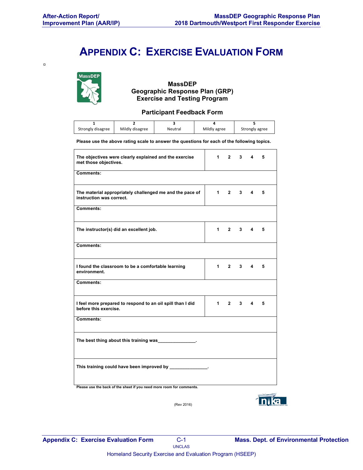$\blacksquare$ 

# **APPENDIX C: EXERCISE EVALUATION FORM**



**MassDEP Geographic Response Plan (GRP) Exercise and Testing Program**

#### **Participant Feedback Form**

| Strongly disagree | Mildly disagree | Neutral | Mildly agree | Strongly agree |
|-------------------|-----------------|---------|--------------|----------------|

**Please use the above rating scale to answer the questions for each of the following topics.** 

| The objectives were clearly explained and the exercise<br>met those objectives.      | $1 \quad$ | $2^{\circ}$ | $3^{\circ}$ | $\overline{\mathbf{4}}$     | 5 |
|--------------------------------------------------------------------------------------|-----------|-------------|-------------|-----------------------------|---|
| Comments:                                                                            |           |             |             |                             |   |
| The material appropriately challenged me and the pace of<br>instruction was correct. | $1 \quad$ | $2^{\circ}$ | $3^{\circ}$ | $\overline{4}$              | 5 |
| Comments:                                                                            |           |             |             |                             |   |
| The instructor(s) did an excellent job.                                              | 1         | $2^{\circ}$ | $3^{\circ}$ | 4                           | 5 |
| Comments:                                                                            |           |             |             |                             |   |
| I found the classroom to be a comfortable learning<br>environment.                   | $1 \quad$ | $2^{\circ}$ |             | $3 \quad 4$                 | 5 |
| Comments:                                                                            |           |             |             |                             |   |
| I feel more prepared to respond to an oil spill than I did<br>before this exercise.  | $1 \quad$ |             |             | $2 \quad 3 \quad 4 \quad 5$ |   |
| Comments:                                                                            |           |             |             |                             |   |
| The best thing about this training was ______________.                               |           |             |             |                             |   |
| This training could have been improved by ___________                                |           |             |             |                             |   |
|                                                                                      |           |             |             |                             |   |

**Please use the back of the sheet if you need more room for comments.**



(Rev 2016)